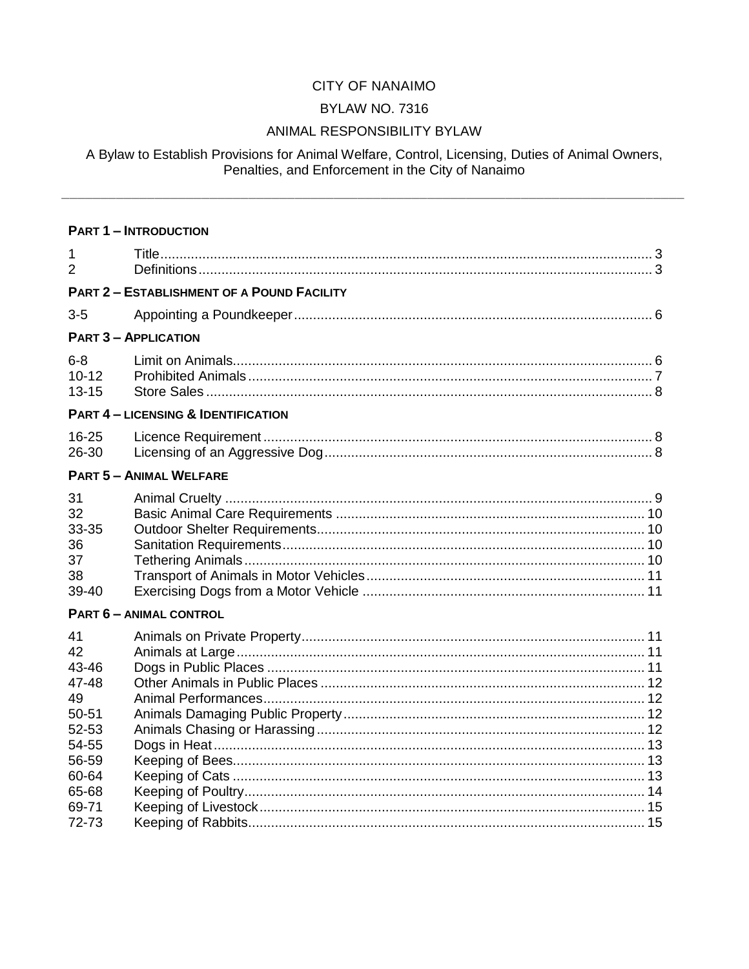# CITY OF NANAIMO

#### **BYLAW NO. 7316**

#### ANIMAL RESPONSIBILITY BYLAW

# A Bylaw to Establish Provisions for Animal Welfare, Control, Licensing, Duties of Animal Owners,<br>Penalties, and Enforcement in the City of Nanaimo

|                                                             | <b>PART 1 - INTRODUCTION</b>                      |  |
|-------------------------------------------------------------|---------------------------------------------------|--|
| 1<br>$\overline{2}$                                         |                                                   |  |
|                                                             | <b>PART 2 - ESTABLISHMENT OF A POUND FACILITY</b> |  |
| $3-5$                                                       |                                                   |  |
|                                                             | <b>PART 3 - APPLICATION</b>                       |  |
| $6 - 8$<br>$10 - 12$<br>$13 - 15$                           |                                                   |  |
|                                                             | <b>PART 4 - LICENSING &amp; IDENTIFICATION</b>    |  |
| 16-25<br>26-30                                              |                                                   |  |
|                                                             | <b>PART 5 - ANIMAL WELFARE</b>                    |  |
| 31<br>32<br>33-35<br>36<br>37<br>38<br>39-40                |                                                   |  |
|                                                             | <b>PART 6 - ANIMAL CONTROL</b>                    |  |
| 41<br>42<br>43-46<br>47-48<br>49<br>50-51<br>52-53<br>54-55 |                                                   |  |
| 56-59<br>60-64<br>65-68<br>69-71                            |                                                   |  |
| 72-73                                                       |                                                   |  |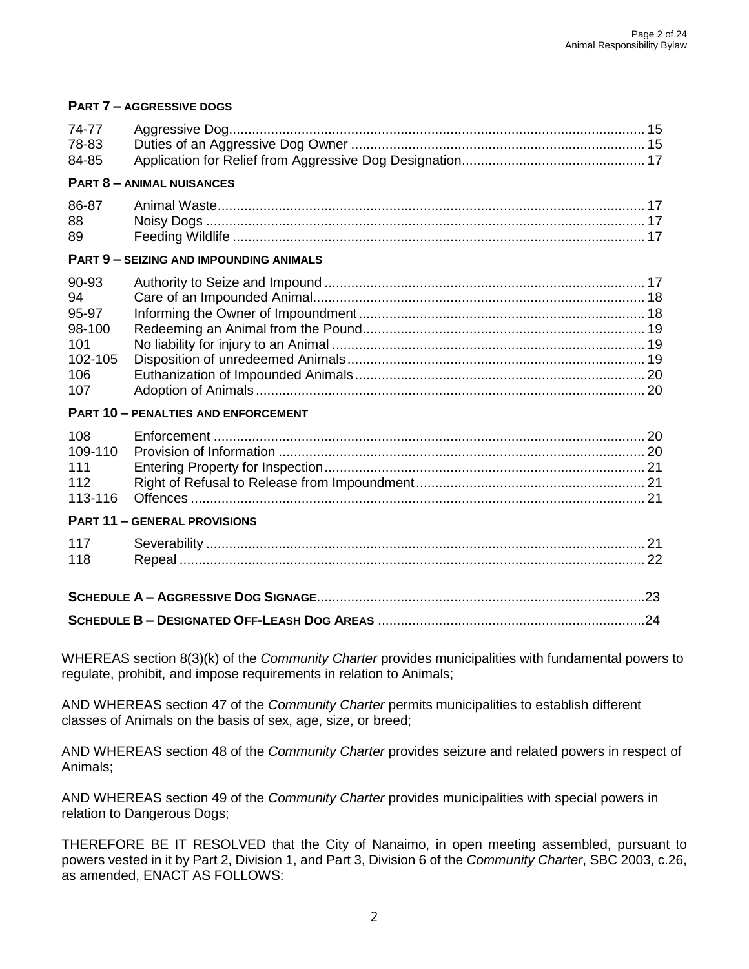| 74-77<br>78-83<br>84-85                                        |                                                |  |  |
|----------------------------------------------------------------|------------------------------------------------|--|--|
|                                                                | <b>PART 8 - ANIMAL NUISANCES</b>               |  |  |
| 86-87<br>88<br>89                                              |                                                |  |  |
|                                                                | <b>PART 9 - SEIZING AND IMPOUNDING ANIMALS</b> |  |  |
| 90-93<br>94<br>95-97<br>98-100<br>101<br>102-105<br>106<br>107 |                                                |  |  |
|                                                                | <b>PART 10 - PENALTIES AND ENFORCEMENT</b>     |  |  |
| 108<br>109-110<br>111<br>112<br>113-116                        |                                                |  |  |
| <b>PART 11 - GENERAL PROVISIONS</b>                            |                                                |  |  |
| 117<br>118                                                     |                                                |  |  |
|                                                                |                                                |  |  |
| .24                                                            |                                                |  |  |

**PART 7 – AGGRESSIVE DOGS** 

WHEREAS section 8(3)(k) of the *Community Charter* provides municipalities with fundamental powers to regulate, prohibit, and impose requirements in relation to Animals;

AND WHEREAS section 47 of the *Community Charter* permits municipalities to establish different classes of Animals on the basis of sex, age, size, or breed;

AND WHEREAS section 48 of the *Community Charter* provides seizure and related powers in respect of Animals;

AND WHEREAS section 49 of the *Community Charter* provides municipalities with special powers in relation to Dangerous Dogs;

THEREFORE BE IT RESOLVED that the City of Nanaimo, in open meeting assembled, pursuant to powers vested in it by Part 2, Division 1, and Part 3, Division 6 of the *Community Charter*, SBC 2003, c.26, as amended, ENACT AS FOLLOWS: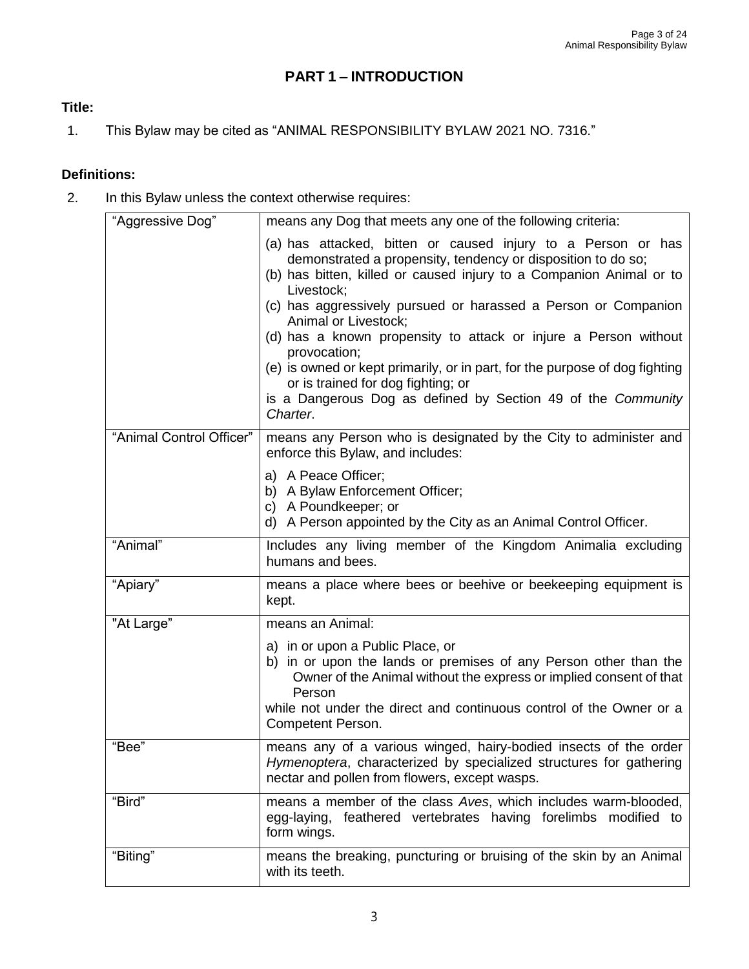# **PART 1 – INTRODUCTION**

#### **Title:**

1. This Bylaw may be cited as "ANIMAL RESPONSIBILITY BYLAW 2021 NO. 7316."

#### **Definitions:**

2. In this Bylaw unless the context otherwise requires:

| "Aggressive Dog"         | means any Dog that meets any one of the following criteria:                                                                                                                                                                                                                      |  |  |
|--------------------------|----------------------------------------------------------------------------------------------------------------------------------------------------------------------------------------------------------------------------------------------------------------------------------|--|--|
|                          | (a) has attacked, bitten or caused injury to a Person or has<br>demonstrated a propensity, tendency or disposition to do so;<br>(b) has bitten, killed or caused injury to a Companion Animal or to<br>Livestock;                                                                |  |  |
|                          | (c) has aggressively pursued or harassed a Person or Companion<br>Animal or Livestock;                                                                                                                                                                                           |  |  |
|                          | (d) has a known propensity to attack or injure a Person without<br>provocation;                                                                                                                                                                                                  |  |  |
|                          | (e) is owned or kept primarily, or in part, for the purpose of dog fighting<br>or is trained for dog fighting; or<br>is a Dangerous Dog as defined by Section 49 of the Community                                                                                                |  |  |
|                          | Charter.                                                                                                                                                                                                                                                                         |  |  |
| "Animal Control Officer" | means any Person who is designated by the City to administer and<br>enforce this Bylaw, and includes:                                                                                                                                                                            |  |  |
|                          | a) A Peace Officer;<br>b) A Bylaw Enforcement Officer;                                                                                                                                                                                                                           |  |  |
|                          | c) A Poundkeeper; or<br>d) A Person appointed by the City as an Animal Control Officer.                                                                                                                                                                                          |  |  |
| "Animal"                 | Includes any living member of the Kingdom Animalia excluding<br>humans and bees.                                                                                                                                                                                                 |  |  |
| "Apiary"                 | means a place where bees or beehive or beekeeping equipment is<br>kept.                                                                                                                                                                                                          |  |  |
| "At Large"               | means an Animal:                                                                                                                                                                                                                                                                 |  |  |
|                          | a) in or upon a Public Place, or<br>b) in or upon the lands or premises of any Person other than the<br>Owner of the Animal without the express or implied consent of that<br>Person<br>while not under the direct and continuous control of the Owner or a<br>Competent Person. |  |  |
| "Bee"                    | means any of a various winged, hairy-bodied insects of the order<br>Hymenoptera, characterized by specialized structures for gathering<br>nectar and pollen from flowers, except wasps.                                                                                          |  |  |
| "Bird"                   | means a member of the class Aves, which includes warm-blooded,<br>egg-laying, feathered vertebrates having forelimbs modified to<br>form wings.                                                                                                                                  |  |  |
| "Biting"                 | means the breaking, puncturing or bruising of the skin by an Animal<br>with its teeth.                                                                                                                                                                                           |  |  |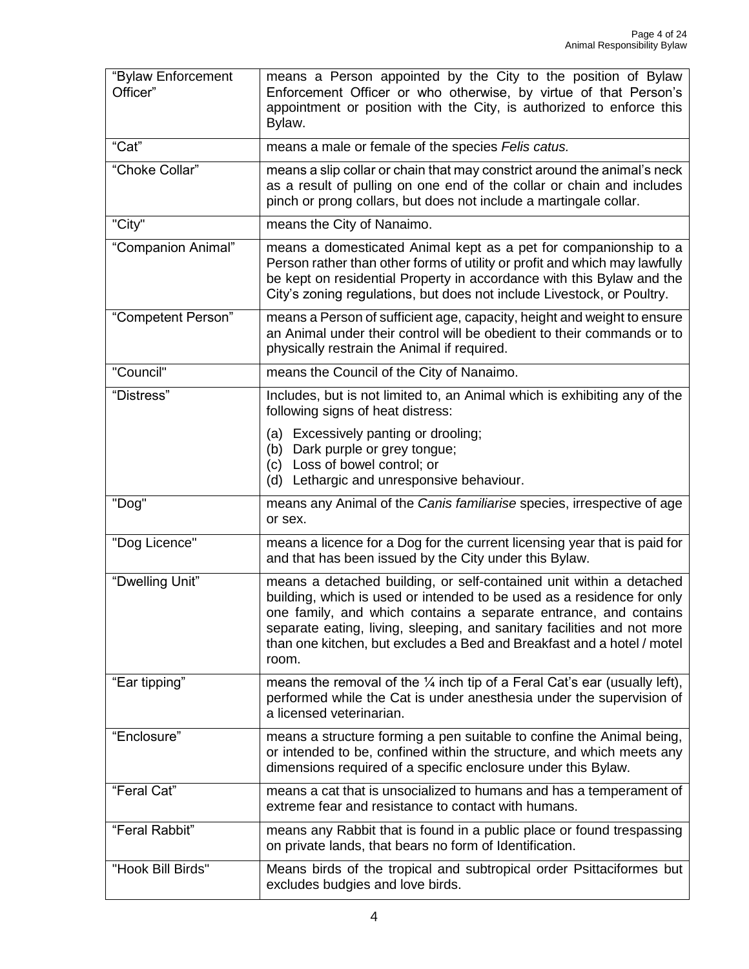| "Bylaw Enforcement<br>Officer" | means a Person appointed by the City to the position of Bylaw<br>Enforcement Officer or who otherwise, by virtue of that Person's<br>appointment or position with the City, is authorized to enforce this<br>Bylaw.                                                                                                                                                             |  |  |
|--------------------------------|---------------------------------------------------------------------------------------------------------------------------------------------------------------------------------------------------------------------------------------------------------------------------------------------------------------------------------------------------------------------------------|--|--|
| "Cat"                          | means a male or female of the species Felis catus.                                                                                                                                                                                                                                                                                                                              |  |  |
| "Choke Collar"                 | means a slip collar or chain that may constrict around the animal's neck<br>as a result of pulling on one end of the collar or chain and includes<br>pinch or prong collars, but does not include a martingale collar.                                                                                                                                                          |  |  |
| "City"                         | means the City of Nanaimo.                                                                                                                                                                                                                                                                                                                                                      |  |  |
| "Companion Animal"             | means a domesticated Animal kept as a pet for companionship to a<br>Person rather than other forms of utility or profit and which may lawfully<br>be kept on residential Property in accordance with this Bylaw and the<br>City's zoning regulations, but does not include Livestock, or Poultry.                                                                               |  |  |
| "Competent Person"             | means a Person of sufficient age, capacity, height and weight to ensure<br>an Animal under their control will be obedient to their commands or to<br>physically restrain the Animal if required.                                                                                                                                                                                |  |  |
| "Council"                      | means the Council of the City of Nanaimo.                                                                                                                                                                                                                                                                                                                                       |  |  |
| "Distress"                     | Includes, but is not limited to, an Animal which is exhibiting any of the<br>following signs of heat distress:                                                                                                                                                                                                                                                                  |  |  |
|                                | (a) Excessively panting or drooling;<br>(b) Dark purple or grey tongue;<br>Loss of bowel control; or<br>(c)<br>(d) Lethargic and unresponsive behaviour.                                                                                                                                                                                                                        |  |  |
| "Dog"                          | means any Animal of the Canis familiarise species, irrespective of age<br>or sex.                                                                                                                                                                                                                                                                                               |  |  |
| "Dog Licence"                  | means a licence for a Dog for the current licensing year that is paid for<br>and that has been issued by the City under this Bylaw.                                                                                                                                                                                                                                             |  |  |
| "Dwelling Unit"                | means a detached building, or self-contained unit within a detached<br>building, which is used or intended to be used as a residence for only<br>one family, and which contains a separate entrance, and contains<br>separate eating, living, sleeping, and sanitary facilities and not more<br>than one kitchen, but excludes a Bed and Breakfast and a hotel / motel<br>room. |  |  |
| "Ear tipping"                  | means the removal of the $\frac{1}{4}$ inch tip of a Feral Cat's ear (usually left),<br>performed while the Cat is under anesthesia under the supervision of<br>a licensed veterinarian.                                                                                                                                                                                        |  |  |
| "Enclosure"                    | means a structure forming a pen suitable to confine the Animal being,<br>or intended to be, confined within the structure, and which meets any<br>dimensions required of a specific enclosure under this Bylaw.                                                                                                                                                                 |  |  |
| "Feral Cat"                    | means a cat that is unsocialized to humans and has a temperament of<br>extreme fear and resistance to contact with humans.                                                                                                                                                                                                                                                      |  |  |
| "Feral Rabbit"                 | means any Rabbit that is found in a public place or found trespassing<br>on private lands, that bears no form of Identification.                                                                                                                                                                                                                                                |  |  |
| "Hook Bill Birds"              | Means birds of the tropical and subtropical order Psittaciformes but<br>excludes budgies and love birds.                                                                                                                                                                                                                                                                        |  |  |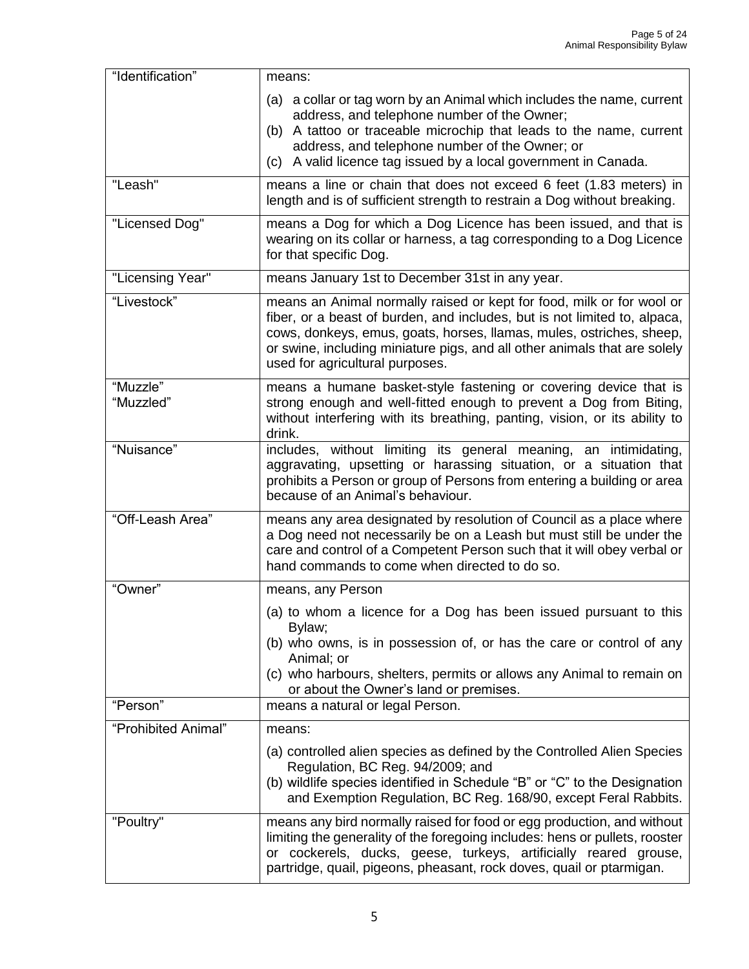| "Identification"      | means:                                                                                                                                                                                                                                                                                                                                     |  |  |
|-----------------------|--------------------------------------------------------------------------------------------------------------------------------------------------------------------------------------------------------------------------------------------------------------------------------------------------------------------------------------------|--|--|
|                       | (a) a collar or tag worn by an Animal which includes the name, current<br>address, and telephone number of the Owner;<br>(b) A tattoo or traceable microchip that leads to the name, current<br>address, and telephone number of the Owner; or<br>(c) A valid licence tag issued by a local government in Canada.                          |  |  |
| "Leash"               | means a line or chain that does not exceed 6 feet (1.83 meters) in<br>length and is of sufficient strength to restrain a Dog without breaking.                                                                                                                                                                                             |  |  |
| "Licensed Dog"        | means a Dog for which a Dog Licence has been issued, and that is<br>wearing on its collar or harness, a tag corresponding to a Dog Licence<br>for that specific Dog.                                                                                                                                                                       |  |  |
| "Licensing Year"      | means January 1st to December 31st in any year.                                                                                                                                                                                                                                                                                            |  |  |
| "Livestock"           | means an Animal normally raised or kept for food, milk or for wool or<br>fiber, or a beast of burden, and includes, but is not limited to, alpaca,<br>cows, donkeys, emus, goats, horses, llamas, mules, ostriches, sheep,<br>or swine, including miniature pigs, and all other animals that are solely<br>used for agricultural purposes. |  |  |
| "Muzzle"<br>"Muzzled" | means a humane basket-style fastening or covering device that is<br>strong enough and well-fitted enough to prevent a Dog from Biting,<br>without interfering with its breathing, panting, vision, or its ability to<br>drink.                                                                                                             |  |  |
| "Nuisance"            | includes, without limiting its general meaning, an intimidating,<br>aggravating, upsetting or harassing situation, or a situation that<br>prohibits a Person or group of Persons from entering a building or area<br>because of an Animal's behaviour.                                                                                     |  |  |
| "Off-Leash Area"      | means any area designated by resolution of Council as a place where<br>a Dog need not necessarily be on a Leash but must still be under the<br>care and control of a Competent Person such that it will obey verbal or<br>hand commands to come when directed to do so.                                                                    |  |  |
| "Owner"               | means, any Person                                                                                                                                                                                                                                                                                                                          |  |  |
|                       | (a) to whom a licence for a Dog has been issued pursuant to this<br>Bylaw;<br>(b) who owns, is in possession of, or has the care or control of any<br>Animal; or<br>(c) who harbours, shelters, permits or allows any Animal to remain on<br>or about the Owner's land or premises.                                                        |  |  |
| "Person"              | means a natural or legal Person.                                                                                                                                                                                                                                                                                                           |  |  |
| "Prohibited Animal"   | means:                                                                                                                                                                                                                                                                                                                                     |  |  |
|                       | (a) controlled alien species as defined by the Controlled Alien Species<br>Regulation, BC Reg. 94/2009; and<br>(b) wildlife species identified in Schedule "B" or "C" to the Designation<br>and Exemption Regulation, BC Reg. 168/90, except Feral Rabbits.                                                                                |  |  |
| "Poultry"             | means any bird normally raised for food or egg production, and without<br>limiting the generality of the foregoing includes: hens or pullets, rooster<br>or cockerels, ducks, geese, turkeys, artificially reared grouse,<br>partridge, quail, pigeons, pheasant, rock doves, quail or ptarmigan.                                          |  |  |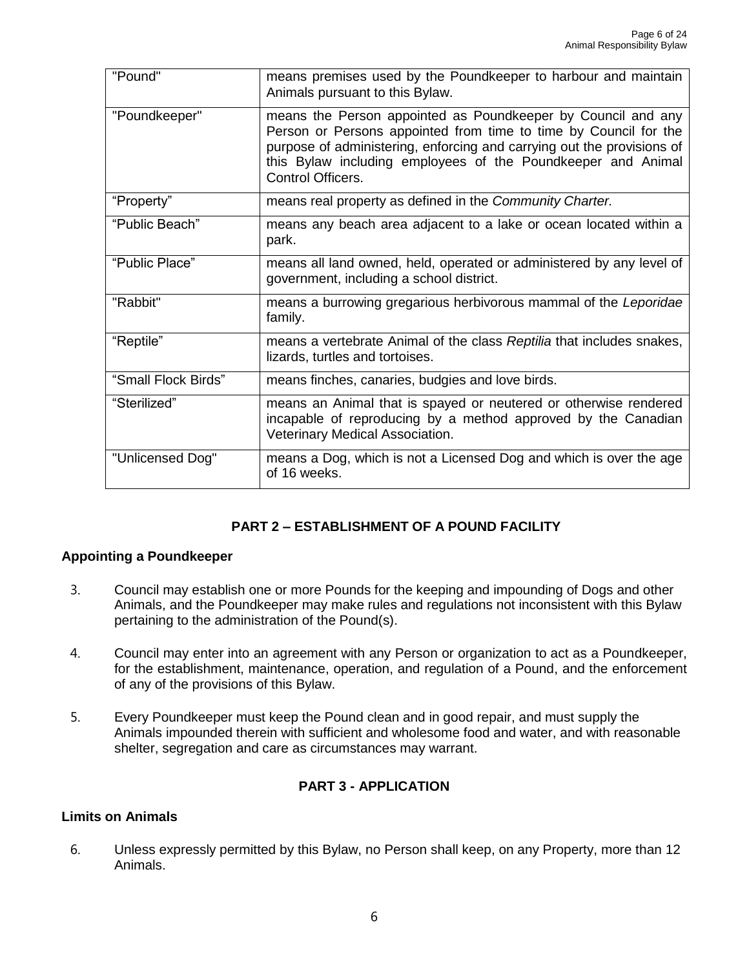| "Pound"             | means premises used by the Poundkeeper to harbour and maintain<br>Animals pursuant to this Bylaw.                                                                                                                                                                                               |  |
|---------------------|-------------------------------------------------------------------------------------------------------------------------------------------------------------------------------------------------------------------------------------------------------------------------------------------------|--|
| "Poundkeeper"       | means the Person appointed as Poundkeeper by Council and any<br>Person or Persons appointed from time to time by Council for the<br>purpose of administering, enforcing and carrying out the provisions of<br>this Bylaw including employees of the Poundkeeper and Animal<br>Control Officers. |  |
| "Property"          | means real property as defined in the Community Charter.                                                                                                                                                                                                                                        |  |
| "Public Beach"      | means any beach area adjacent to a lake or ocean located within a<br>park.                                                                                                                                                                                                                      |  |
| "Public Place"      | means all land owned, held, operated or administered by any level of<br>government, including a school district.                                                                                                                                                                                |  |
| "Rabbit"            | means a burrowing gregarious herbivorous mammal of the Leporidae<br>family.                                                                                                                                                                                                                     |  |
| "Reptile"           | means a vertebrate Animal of the class Reptilia that includes snakes,<br>lizards, turtles and tortoises.                                                                                                                                                                                        |  |
| "Small Flock Birds" | means finches, canaries, budgies and love birds.                                                                                                                                                                                                                                                |  |
| "Sterilized"        | means an Animal that is spayed or neutered or otherwise rendered<br>incapable of reproducing by a method approved by the Canadian<br>Veterinary Medical Association.                                                                                                                            |  |
| "Unlicensed Dog"    | means a Dog, which is not a Licensed Dog and which is over the age<br>of 16 weeks.                                                                                                                                                                                                              |  |

#### **PART 2 – ESTABLISHMENT OF A POUND FACILITY**

#### **Appointing a Poundkeeper**

- 3. Council may establish one or more Pounds for the keeping and impounding of Dogs and other Animals, and the Poundkeeper may make rules and regulations not inconsistent with this Bylaw pertaining to the administration of the Pound(s).
- 4. Council may enter into an agreement with any Person or organization to act as a Poundkeeper, for the establishment, maintenance, operation, and regulation of a Pound, and the enforcement of any of the provisions of this Bylaw.
- 5. Every Poundkeeper must keep the Pound clean and in good repair, and must supply the Animals impounded therein with sufficient and wholesome food and water, and with reasonable shelter, segregation and care as circumstances may warrant.

#### **PART 3 - APPLICATION**

#### **Limits on Animals**

6. Unless expressly permitted by this Bylaw, no Person shall keep, on any Property, more than 12 Animals.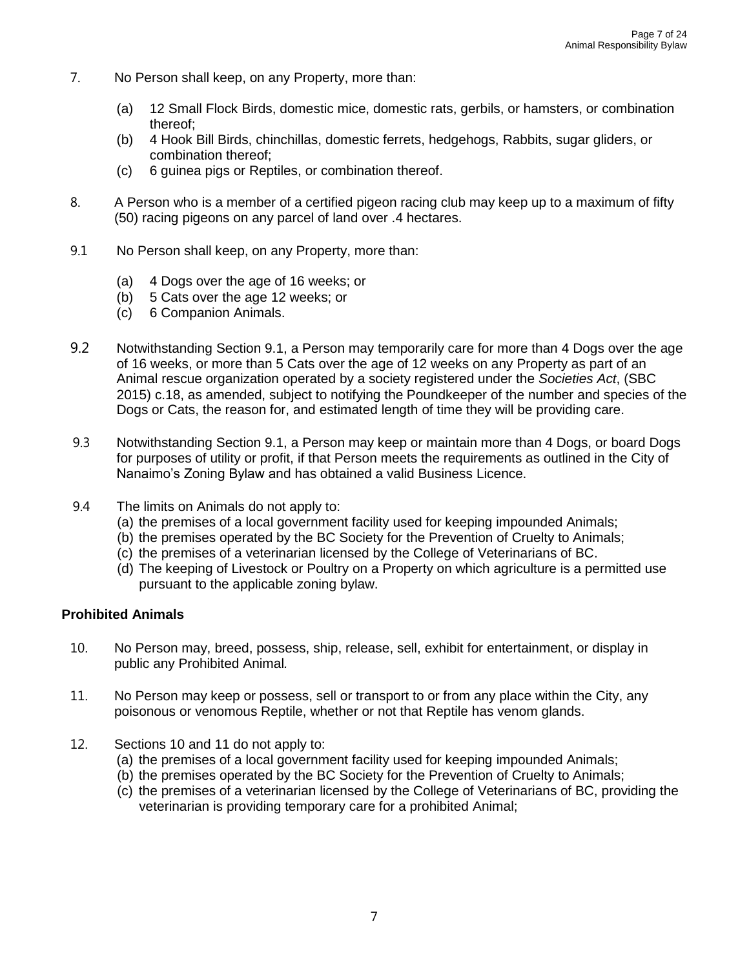- 7. No Person shall keep, on any Property, more than:
	- (a) 12 Small Flock Birds, domestic mice, domestic rats, gerbils, or hamsters, or combination thereof;
	- (b) 4 Hook Bill Birds, chinchillas, domestic ferrets, hedgehogs, Rabbits, sugar gliders, or combination thereof;
	- (c) 6 guinea pigs or Reptiles, or combination thereof.
- 8. A Person who is a member of a certified pigeon racing club may keep up to a maximum of fifty (50) racing pigeons on any parcel of land over .4 hectares.
- 9.1 No Person shall keep, on any Property, more than:
	- (a) 4 Dogs over the age of 16 weeks; or
	- (b) 5 Cats over the age 12 weeks; or
	- (c) 6 Companion Animals.
- 9.2 Notwithstanding Section 9.1, a Person may temporarily care for more than 4 Dogs over the age of 16 weeks, or more than 5 Cats over the age of 12 weeks on any Property as part of an Animal rescue organization operated by a society registered under the *Societies Act*, (SBC 2015) c.18, as amended, subject to notifying the Poundkeeper of the number and species of the Dogs or Cats, the reason for, and estimated length of time they will be providing care.
- 9.3 Notwithstanding Section 9.1, a Person may keep or maintain more than 4 Dogs, or board Dogs for purposes of utility or profit, if that Person meets the requirements as outlined in the City of Nanaimo's Zoning Bylaw and has obtained a valid Business Licence.
- 9.4 The limits on Animals do not apply to:
	- (a) the premises of a local government facility used for keeping impounded Animals;
	- (b) the premises operated by the BC Society for the Prevention of Cruelty to Animals;
	- (c) the premises of a veterinarian licensed by the College of Veterinarians of BC.
	- (d) The keeping of Livestock or Poultry on a Property on which agriculture is a permitted use pursuant to the applicable zoning bylaw.

#### **Prohibited Animals**

- 10. No Person may, breed, possess, ship, release, sell, exhibit for entertainment, or display in public any Prohibited Animal*.*
- 11. No Person may keep or possess, sell or transport to or from any place within the City, any poisonous or venomous Reptile, whether or not that Reptile has venom glands.
- 12. Sections 10 and 11 do not apply to:
	- (a) the premises of a local government facility used for keeping impounded Animals;
	- (b) the premises operated by the BC Society for the Prevention of Cruelty to Animals;
	- (c) the premises of a veterinarian licensed by the College of Veterinarians of BC, providing the veterinarian is providing temporary care for a prohibited Animal;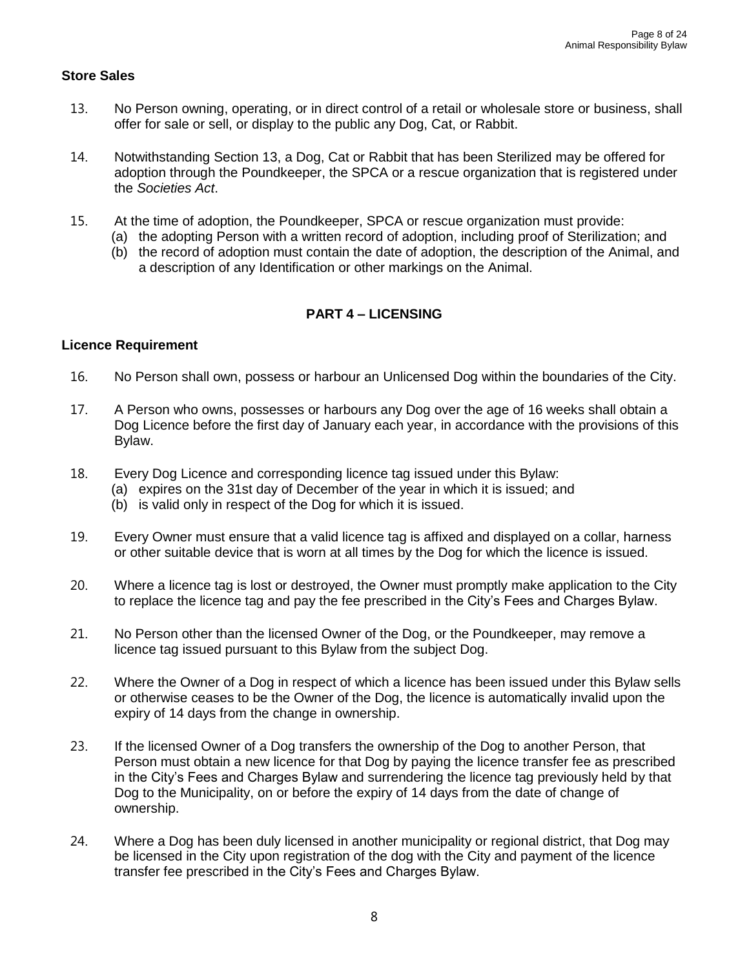#### **Store Sales**

- 13. No Person owning, operating, or in direct control of a retail or wholesale store or business, shall offer for sale or sell, or display to the public any Dog, Cat, or Rabbit.
- 14. Notwithstanding Section 13, a Dog, Cat or Rabbit that has been Sterilized may be offered for adoption through the Poundkeeper, the SPCA or a rescue organization that is registered under the *Societies Act*.
- 15. At the time of adoption, the Poundkeeper, SPCA or rescue organization must provide:
	- (a) the adopting Person with a written record of adoption, including proof of Sterilization; and
	- (b) the record of adoption must contain the date of adoption, the description of the Animal, and a description of any Identification or other markings on the Animal.

#### **PART 4 – LICENSING**

#### **Licence Requirement**

- 16. No Person shall own, possess or harbour an Unlicensed Dog within the boundaries of the City.
- 17. A Person who owns, possesses or harbours any Dog over the age of 16 weeks shall obtain a Dog Licence before the first day of January each year, in accordance with the provisions of this Bylaw.
- 18. Every Dog Licence and corresponding licence tag issued under this Bylaw:
	- (a) expires on the 31st day of December of the year in which it is issued; and
	- (b) is valid only in respect of the Dog for which it is issued.
- 19. Every Owner must ensure that a valid licence tag is affixed and displayed on a collar, harness or other suitable device that is worn at all times by the Dog for which the licence is issued.
- 20. Where a licence tag is lost or destroyed, the Owner must promptly make application to the City to replace the licence tag and pay the fee prescribed in the City's Fees and Charges Bylaw.
- 21. No Person other than the licensed Owner of the Dog, or the Poundkeeper, may remove a licence tag issued pursuant to this Bylaw from the subject Dog.
- 22. Where the Owner of a Dog in respect of which a licence has been issued under this Bylaw sells or otherwise ceases to be the Owner of the Dog, the licence is automatically invalid upon the expiry of 14 days from the change in ownership.
- 23. If the licensed Owner of a Dog transfers the ownership of the Dog to another Person, that Person must obtain a new licence for that Dog by paying the licence transfer fee as prescribed in the City's Fees and Charges Bylaw and surrendering the licence tag previously held by that Dog to the Municipality, on or before the expiry of 14 days from the date of change of ownership.
- 24. Where a Dog has been duly licensed in another municipality or regional district, that Dog may be licensed in the City upon registration of the dog with the City and payment of the licence transfer fee prescribed in the City's Fees and Charges Bylaw.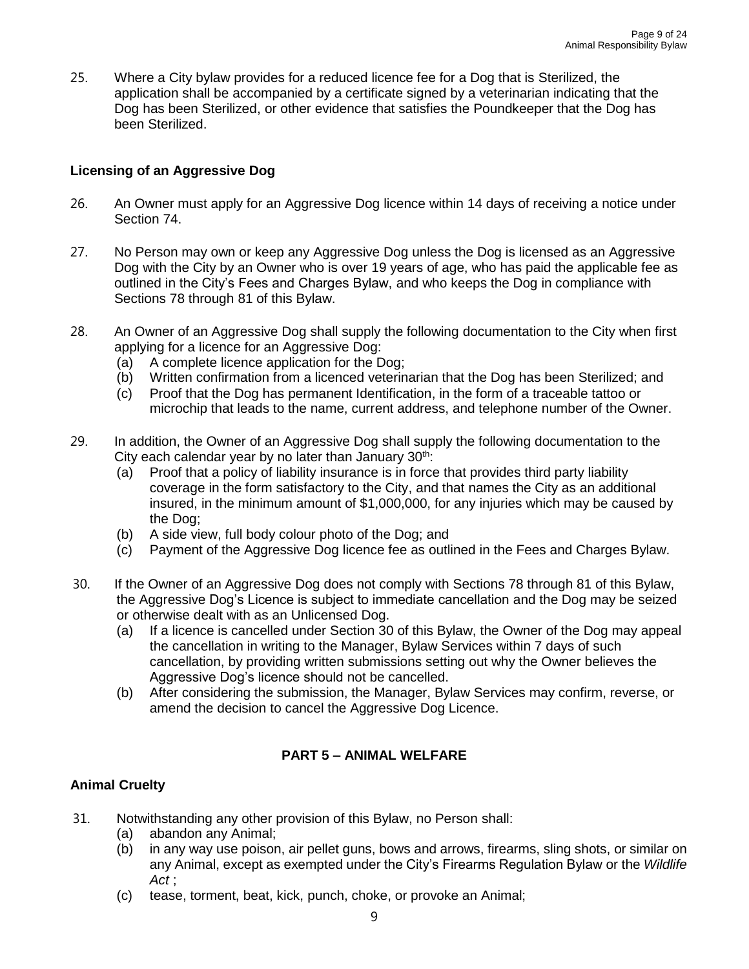25. Where a City bylaw provides for a reduced licence fee for a Dog that is Sterilized, the application shall be accompanied by a certificate signed by a veterinarian indicating that the Dog has been Sterilized, or other evidence that satisfies the Poundkeeper that the Dog has been Sterilized.

#### **Licensing of an Aggressive Dog**

- 26. An Owner must apply for an Aggressive Dog licence within 14 days of receiving a notice under Section 74.
- 27. No Person may own or keep any Aggressive Dog unless the Dog is licensed as an Aggressive Dog with the City by an Owner who is over 19 years of age, who has paid the applicable fee as outlined in the City's Fees and Charges Bylaw, and who keeps the Dog in compliance with Sections 78 through 81 of this Bylaw.
- 28. An Owner of an Aggressive Dog shall supply the following documentation to the City when first applying for a licence for an Aggressive Dog:
	- (a) A complete licence application for the Dog;
	- (b) Written confirmation from a licenced veterinarian that the Dog has been Sterilized; and
	- (c) Proof that the Dog has permanent Identification, in the form of a traceable tattoo or microchip that leads to the name, current address, and telephone number of the Owner.
- 29. In addition, the Owner of an Aggressive Dog shall supply the following documentation to the City each calendar year by no later than January  $30<sup>th</sup>$ :
	- (a) Proof that a policy of liability insurance is in force that provides third party liability coverage in the form satisfactory to the City, and that names the City as an additional insured, in the minimum amount of \$1,000,000, for any injuries which may be caused by the Dog;
	- (b) A side view, full body colour photo of the Dog; and
	- (c) Payment of the Aggressive Dog licence fee as outlined in the Fees and Charges Bylaw.
- 30. If the Owner of an Aggressive Dog does not comply with Sections 78 through 81 of this Bylaw, the Aggressive Dog's Licence is subject to immediate cancellation and the Dog may be seized or otherwise dealt with as an Unlicensed Dog.
	- (a) If a licence is cancelled under Section 30 of this Bylaw, the Owner of the Dog may appeal the cancellation in writing to the Manager, Bylaw Services within 7 days of such cancellation, by providing written submissions setting out why the Owner believes the Aggressive Dog's licence should not be cancelled.
	- (b) After considering the submission, the Manager, Bylaw Services may confirm, reverse, or amend the decision to cancel the Aggressive Dog Licence.

#### **PART 5 – ANIMAL WELFARE**

#### **Animal Cruelty**

- 31. Notwithstanding any other provision of this Bylaw, no Person shall:
	- (a) abandon any Animal;
	- (b) in any way use poison, air pellet guns, bows and arrows, firearms, sling shots, or similar on any Animal, except as exempted under the City's Firearms Regulation Bylaw or the *Wildlife Act* ;
	- (c) tease, torment, beat, kick, punch, choke, or provoke an Animal;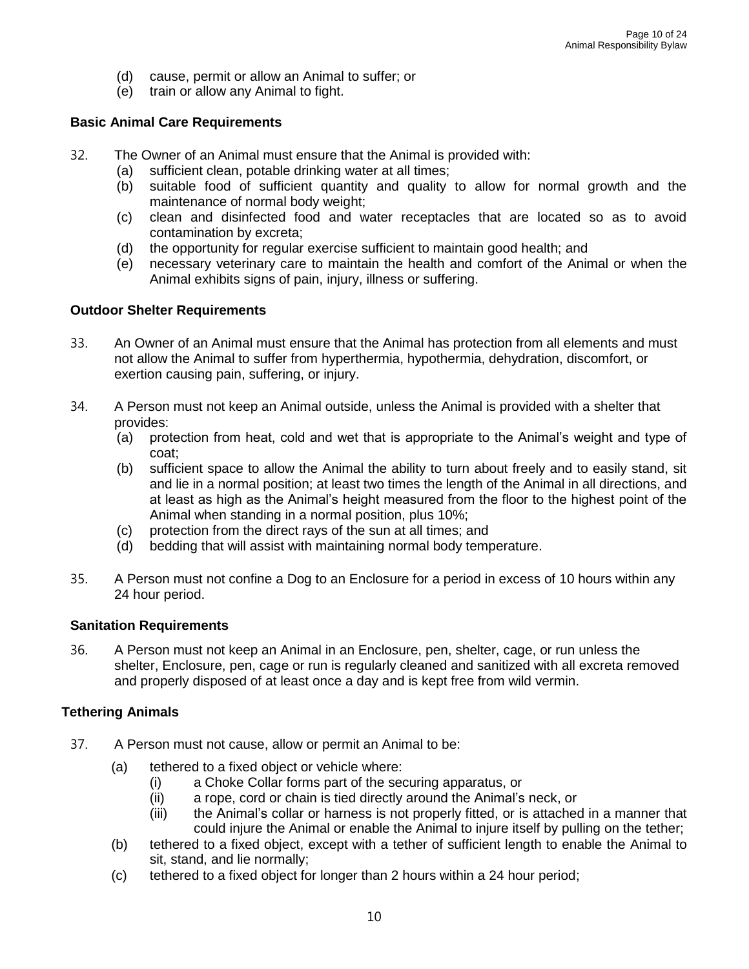- (d) cause, permit or allow an Animal to suffer; or
- (e) train or allow any Animal to fight.

#### **Basic Animal Care Requirements**

- 32. The Owner of an Animal must ensure that the Animal is provided with:
	- (a) sufficient clean, potable drinking water at all times;
	- (b) suitable food of sufficient quantity and quality to allow for normal growth and the maintenance of normal body weight;
	- (c) clean and disinfected food and water receptacles that are located so as to avoid contamination by excreta;
	- (d) the opportunity for regular exercise sufficient to maintain good health; and
	- (e) necessary veterinary care to maintain the health and comfort of the Animal or when the Animal exhibits signs of pain, injury, illness or suffering.

#### **Outdoor Shelter Requirements**

- 33. An Owner of an Animal must ensure that the Animal has protection from all elements and must not allow the Animal to suffer from hyperthermia, hypothermia, dehydration, discomfort, or exertion causing pain, suffering, or injury.
- 34. A Person must not keep an Animal outside, unless the Animal is provided with a shelter that provides:
	- (a) protection from heat, cold and wet that is appropriate to the Animal's weight and type of coat;
	- (b) sufficient space to allow the Animal the ability to turn about freely and to easily stand, sit and lie in a normal position; at least two times the length of the Animal in all directions, and at least as high as the Animal's height measured from the floor to the highest point of the Animal when standing in a normal position, plus 10%;
	- (c) protection from the direct rays of the sun at all times; and
	- (d) bedding that will assist with maintaining normal body temperature.
- 35. A Person must not confine a Dog to an Enclosure for a period in excess of 10 hours within any 24 hour period.

#### **Sanitation Requirements**

36. A Person must not keep an Animal in an Enclosure, pen, shelter, cage, or run unless the shelter, Enclosure, pen, cage or run is regularly cleaned and sanitized with all excreta removed and properly disposed of at least once a day and is kept free from wild vermin.

#### **Tethering Animals**

- 37. A Person must not cause, allow or permit an Animal to be:
	- (a) tethered to a fixed object or vehicle where:
		- (i) a Choke Collar forms part of the securing apparatus, or
		- (ii) a rope, cord or chain is tied directly around the Animal's neck, or
		- (iii) the Animal's collar or harness is not properly fitted, or is attached in a manner that could injure the Animal or enable the Animal to injure itself by pulling on the tether;
	- (b) tethered to a fixed object, except with a tether of sufficient length to enable the Animal to sit, stand, and lie normally;
	- (c) tethered to a fixed object for longer than 2 hours within a 24 hour period;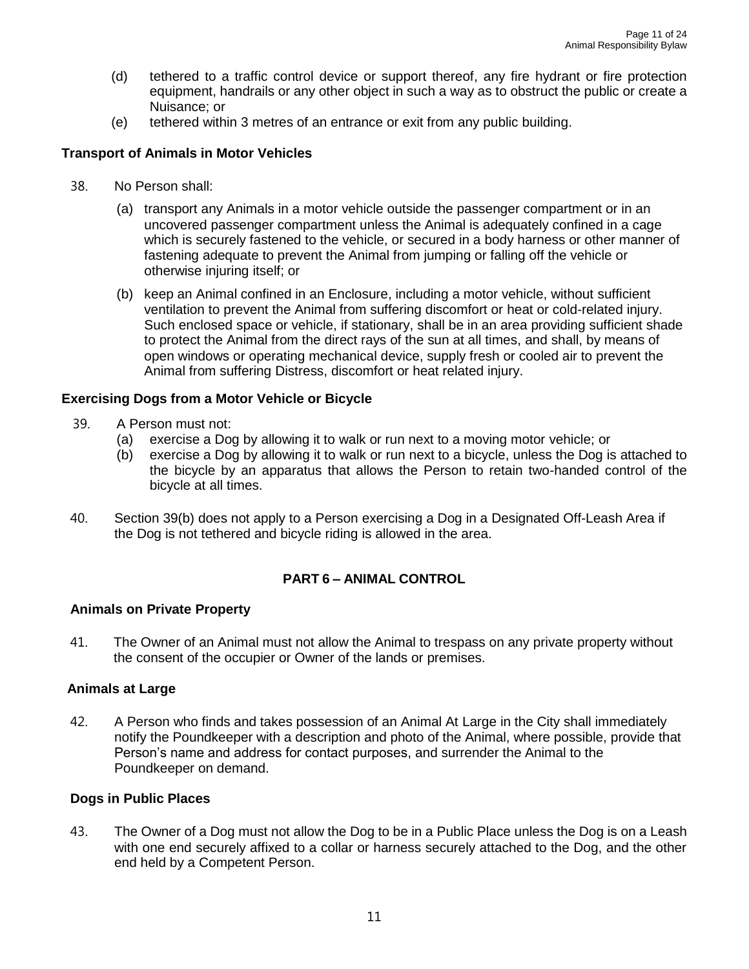- (d) tethered to a traffic control device or support thereof, any fire hydrant or fire protection equipment, handrails or any other object in such a way as to obstruct the public or create a Nuisance; or
- (e) tethered within 3 metres of an entrance or exit from any public building.

#### **Transport of Animals in Motor Vehicles**

- 38. No Person shall:
	- (a) transport any Animals in a motor vehicle outside the passenger compartment or in an uncovered passenger compartment unless the Animal is adequately confined in a cage which is securely fastened to the vehicle, or secured in a body harness or other manner of fastening adequate to prevent the Animal from jumping or falling off the vehicle or otherwise injuring itself; or
	- (b) keep an Animal confined in an Enclosure, including a motor vehicle, without sufficient ventilation to prevent the Animal from suffering discomfort or heat or cold-related injury. Such enclosed space or vehicle, if stationary, shall be in an area providing sufficient shade to protect the Animal from the direct rays of the sun at all times, and shall, by means of open windows or operating mechanical device, supply fresh or cooled air to prevent the Animal from suffering Distress, discomfort or heat related injury.

#### **Exercising Dogs from a Motor Vehicle or Bicycle**

- 39. A Person must not:
	- (a) exercise a Dog by allowing it to walk or run next to a moving motor vehicle; or
	- (b) exercise a Dog by allowing it to walk or run next to a bicycle, unless the Dog is attached to the bicycle by an apparatus that allows the Person to retain two-handed control of the bicycle at all times.
- 40. Section 39(b) does not apply to a Person exercising a Dog in a Designated Off-Leash Area if the Dog is not tethered and bicycle riding is allowed in the area.

#### **PART 6 – ANIMAL CONTROL**

#### **Animals on Private Property**

41. The Owner of an Animal must not allow the Animal to trespass on any private property without the consent of the occupier or Owner of the lands or premises.

#### **Animals at Large**

42. A Person who finds and takes possession of an Animal At Large in the City shall immediately notify the Poundkeeper with a description and photo of the Animal, where possible, provide that Person's name and address for contact purposes, and surrender the Animal to the Poundkeeper on demand.

#### **Dogs in Public Places**

43. The Owner of a Dog must not allow the Dog to be in a Public Place unless the Dog is on a Leash with one end securely affixed to a collar or harness securely attached to the Dog, and the other end held by a Competent Person.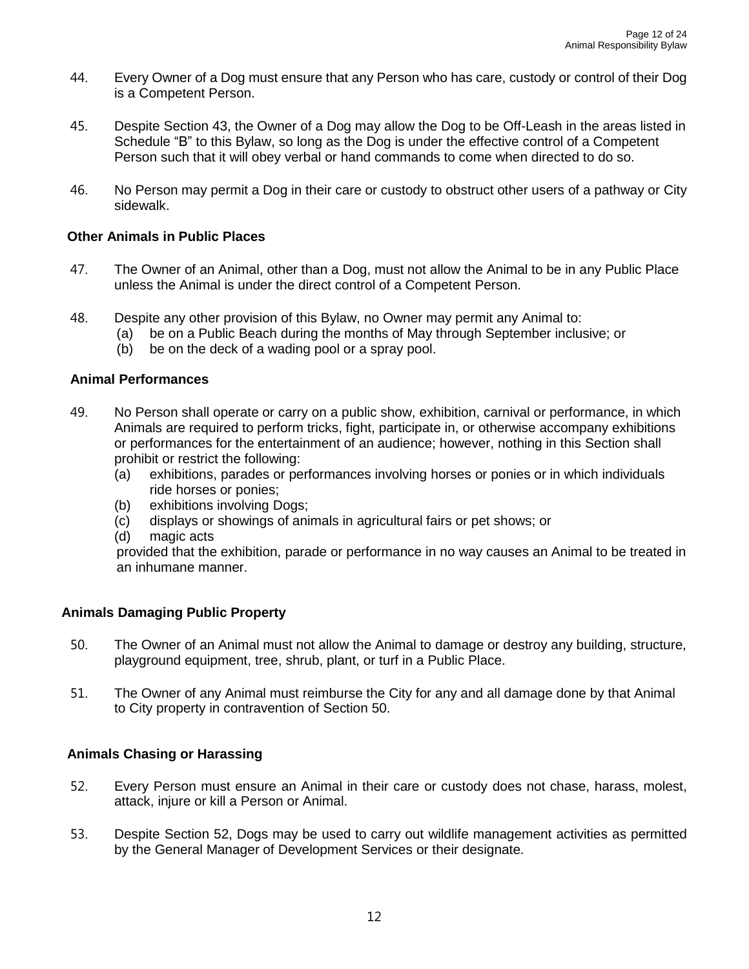- 44. Every Owner of a Dog must ensure that any Person who has care, custody or control of their Dog is a Competent Person.
- 45. Despite Section 43, the Owner of a Dog may allow the Dog to be Off-Leash in the areas listed in Schedule "B" to this Bylaw, so long as the Dog is under the effective control of a Competent Person such that it will obey verbal or hand commands to come when directed to do so.
- 46. No Person may permit a Dog in their care or custody to obstruct other users of a pathway or City sidewalk.

#### **Other Animals in Public Places**

- 47. The Owner of an Animal, other than a Dog, must not allow the Animal to be in any Public Place unless the Animal is under the direct control of a Competent Person.
- 48. Despite any other provision of this Bylaw, no Owner may permit any Animal to:
	- (a) be on a Public Beach during the months of May through September inclusive; or
	- (b) be on the deck of a wading pool or a spray pool.

#### **Animal Performances**

- 49. No Person shall operate or carry on a public show, exhibition, carnival or performance, in which Animals are required to perform tricks, fight, participate in, or otherwise accompany exhibitions or performances for the entertainment of an audience; however, nothing in this Section shall prohibit or restrict the following:
	- (a) exhibitions, parades or performances involving horses or ponies or in which individuals ride horses or ponies;
	- (b) exhibitions involving Dogs;
	- (c) displays or showings of animals in agricultural fairs or pet shows; or
	- (d) magic acts

provided that the exhibition, parade or performance in no way causes an Animal to be treated in an inhumane manner.

#### **Animals Damaging Public Property**

- 50. The Owner of an Animal must not allow the Animal to damage or destroy any building, structure, playground equipment, tree, shrub, plant, or turf in a Public Place.
- 51. The Owner of any Animal must reimburse the City for any and all damage done by that Animal to City property in contravention of Section 50.

#### **Animals Chasing or Harassing**

- 52. Every Person must ensure an Animal in their care or custody does not chase, harass, molest, attack, injure or kill a Person or Animal.
- 53. Despite Section 52, Dogs may be used to carry out wildlife management activities as permitted by the General Manager of Development Services or their designate.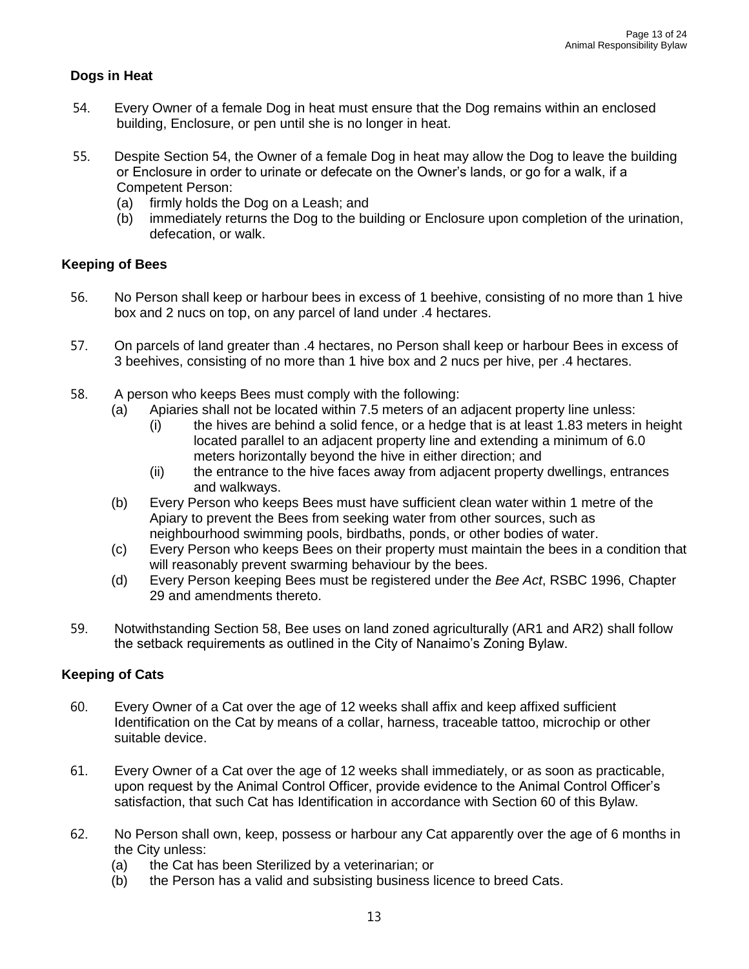#### **Dogs in Heat**

- 54. Every Owner of a female Dog in heat must ensure that the Dog remains within an enclosed building, Enclosure, or pen until she is no longer in heat.
- 55. Despite Section 54, the Owner of a female Dog in heat may allow the Dog to leave the building or Enclosure in order to urinate or defecate on the Owner's lands, or go for a walk, if a Competent Person:
	- (a) firmly holds the Dog on a Leash; and
	- (b) immediately returns the Dog to the building or Enclosure upon completion of the urination, defecation, or walk.

#### **Keeping of Bees**

- 56. No Person shall keep or harbour bees in excess of 1 beehive, consisting of no more than 1 hive box and 2 nucs on top, on any parcel of land under .4 hectares.
- 57. On parcels of land greater than .4 hectares, no Person shall keep or harbour Bees in excess of 3 beehives, consisting of no more than 1 hive box and 2 nucs per hive, per .4 hectares.
- 58. A person who keeps Bees must comply with the following:
	- (a) Apiaries shall not be located within 7.5 meters of an adjacent property line unless:
		- (i) the hives are behind a solid fence, or a hedge that is at least 1.83 meters in height located parallel to an adjacent property line and extending a minimum of 6.0 meters horizontally beyond the hive in either direction; and
		- (ii) the entrance to the hive faces away from adjacent property dwellings, entrances and walkways.
	- (b) Every Person who keeps Bees must have sufficient clean water within 1 metre of the Apiary to prevent the Bees from seeking water from other sources, such as neighbourhood swimming pools, birdbaths, ponds, or other bodies of water.
	- (c) Every Person who keeps Bees on their property must maintain the bees in a condition that will reasonably prevent swarming behaviour by the bees.
	- (d) Every Person keeping Bees must be registered under the *Bee Act*, RSBC 1996, Chapter 29 and amendments thereto.
- 59. Notwithstanding Section 58, Bee uses on land zoned agriculturally (AR1 and AR2) shall follow the setback requirements as outlined in the City of Nanaimo's Zoning Bylaw.

#### **Keeping of Cats**

- 60. Every Owner of a Cat over the age of 12 weeks shall affix and keep affixed sufficient Identification on the Cat by means of a collar, harness, traceable tattoo, microchip or other suitable device.
- 61. Every Owner of a Cat over the age of 12 weeks shall immediately, or as soon as practicable, upon request by the Animal Control Officer, provide evidence to the Animal Control Officer's satisfaction, that such Cat has Identification in accordance with Section 60 of this Bylaw.
- 62. No Person shall own, keep, possess or harbour any Cat apparently over the age of 6 months in the City unless:
	- (a) the Cat has been Sterilized by a veterinarian; or
	- (b) the Person has a valid and subsisting business licence to breed Cats.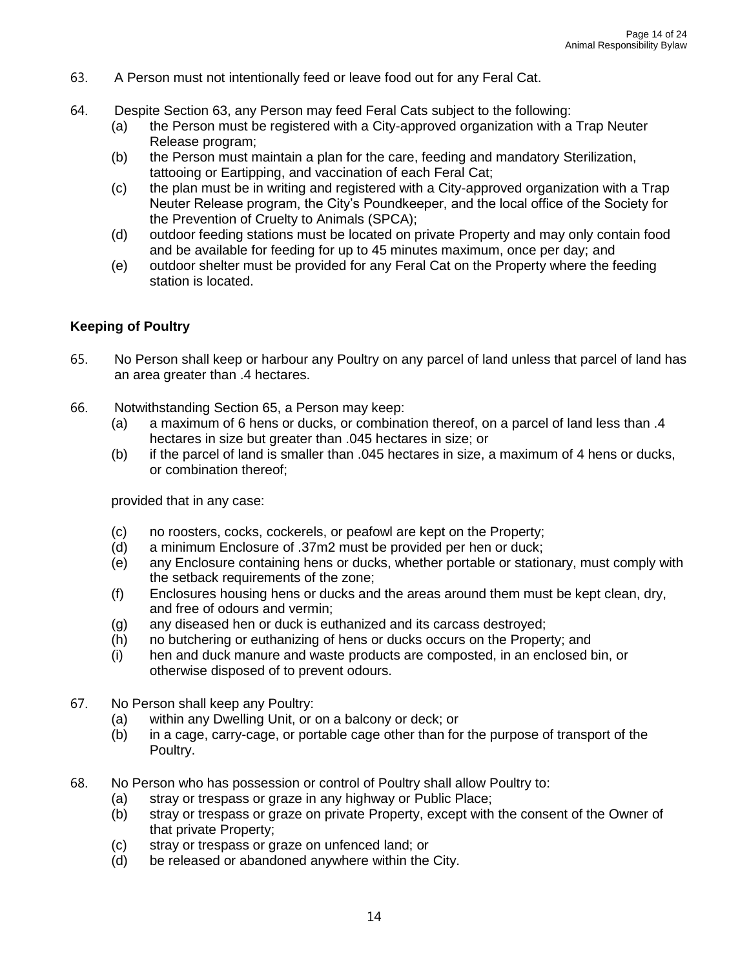- 63. A Person must not intentionally feed or leave food out for any Feral Cat.
- 64. Despite Section 63, any Person may feed Feral Cats subject to the following:
	- (a) the Person must be registered with a City-approved organization with a Trap Neuter Release program;
	- (b) the Person must maintain a plan for the care, feeding and mandatory Sterilization, tattooing or Eartipping, and vaccination of each Feral Cat;
	- (c) the plan must be in writing and registered with a City-approved organization with a Trap Neuter Release program, the City's Poundkeeper, and the local office of the Society for the Prevention of Cruelty to Animals (SPCA);
	- (d) outdoor feeding stations must be located on private Property and may only contain food and be available for feeding for up to 45 minutes maximum, once per day; and
	- (e) outdoor shelter must be provided for any Feral Cat on the Property where the feeding station is located.

#### **Keeping of Poultry**

- 65. No Person shall keep or harbour any Poultry on any parcel of land unless that parcel of land has an area greater than .4 hectares.
- 66. Notwithstanding Section 65, a Person may keep:
	- (a) a maximum of 6 hens or ducks, or combination thereof, on a parcel of land less than .4 hectares in size but greater than .045 hectares in size; or
	- (b) if the parcel of land is smaller than .045 hectares in size, a maximum of 4 hens or ducks, or combination thereof;

provided that in any case:

- (c) no roosters, cocks, cockerels, or peafowl are kept on the Property;
- (d) a minimum Enclosure of .37m2 must be provided per hen or duck;
- (e) any Enclosure containing hens or ducks, whether portable or stationary, must comply with the setback requirements of the zone;
- (f) Enclosures housing hens or ducks and the areas around them must be kept clean, dry, and free of odours and vermin;
- (g) any diseased hen or duck is euthanized and its carcass destroyed;
- (h) no butchering or euthanizing of hens or ducks occurs on the Property; and
- (i) hen and duck manure and waste products are composted, in an enclosed bin, or otherwise disposed of to prevent odours.
- 67. No Person shall keep any Poultry:
	- (a) within any Dwelling Unit, or on a balcony or deck; or
	- (b) in a cage, carry-cage, or portable cage other than for the purpose of transport of the Poultry.
- 68. No Person who has possession or control of Poultry shall allow Poultry to:
	- (a) stray or trespass or graze in any highway or Public Place;
	- (b) stray or trespass or graze on private Property, except with the consent of the Owner of that private Property;
	- (c) stray or trespass or graze on unfenced land; or
	- (d) be released or abandoned anywhere within the City.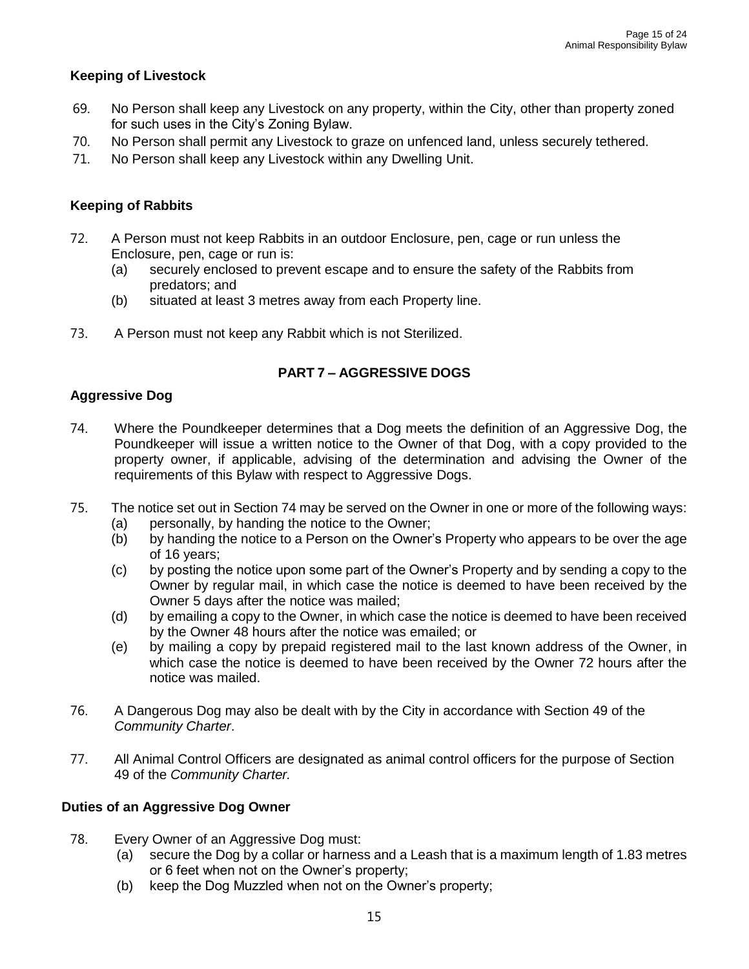#### **Keeping of Livestock**

- 69. No Person shall keep any Livestock on any property, within the City, other than property zoned for such uses in the City's Zoning Bylaw.
- 70. No Person shall permit any Livestock to graze on unfenced land, unless securely tethered.
- 71. No Person shall keep any Livestock within any Dwelling Unit.

#### **Keeping of Rabbits**

- 72. A Person must not keep Rabbits in an outdoor Enclosure, pen, cage or run unless the Enclosure, pen, cage or run is:
	- (a) securely enclosed to prevent escape and to ensure the safety of the Rabbits from predators; and
	- (b) situated at least 3 metres away from each Property line.
- 73. A Person must not keep any Rabbit which is not Sterilized.

#### **PART 7 – AGGRESSIVE DOGS**

#### **Aggressive Dog**

- 74. Where the Poundkeeper determines that a Dog meets the definition of an Aggressive Dog, the Poundkeeper will issue a written notice to the Owner of that Dog, with a copy provided to the property owner, if applicable, advising of the determination and advising the Owner of the requirements of this Bylaw with respect to Aggressive Dogs.
- 75. The notice set out in Section 74 may be served on the Owner in one or more of the following ways:
	- (a) personally, by handing the notice to the Owner;
	- (b) by handing the notice to a Person on the Owner's Property who appears to be over the age of 16 years;
	- (c) by posting the notice upon some part of the Owner's Property and by sending a copy to the Owner by regular mail, in which case the notice is deemed to have been received by the Owner 5 days after the notice was mailed;
	- (d) by emailing a copy to the Owner, in which case the notice is deemed to have been received by the Owner 48 hours after the notice was emailed; or
	- (e) by mailing a copy by prepaid registered mail to the last known address of the Owner, in which case the notice is deemed to have been received by the Owner 72 hours after the notice was mailed.
- 76. A Dangerous Dog may also be dealt with by the City in accordance with Section 49 of the *Community Charter*.
- 77. All Animal Control Officers are designated as animal control officers for the purpose of Section 49 of the *Community Charter.*

#### **Duties of an Aggressive Dog Owner**

- 78. Every Owner of an Aggressive Dog must:
	- (a) secure the Dog by a collar or harness and a Leash that is a maximum length of 1.83 metres or 6 feet when not on the Owner's property;
	- (b) keep the Dog Muzzled when not on the Owner's property;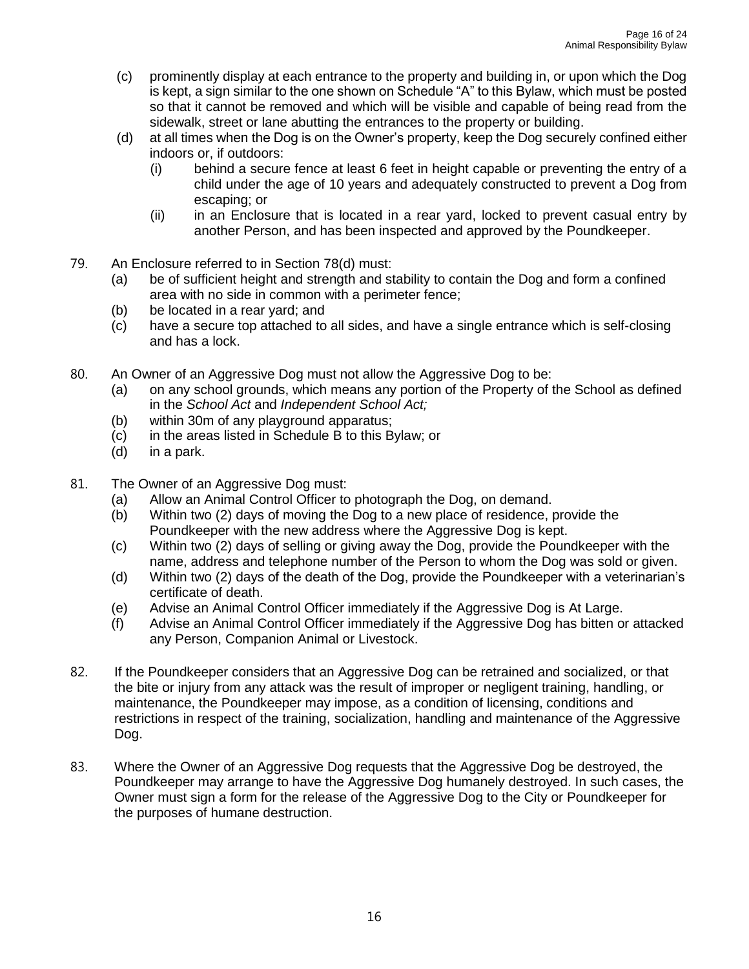- (c) prominently display at each entrance to the property and building in, or upon which the Dog is kept, a sign similar to the one shown on Schedule "A" to this Bylaw, which must be posted so that it cannot be removed and which will be visible and capable of being read from the sidewalk, street or lane abutting the entrances to the property or building.
- (d) at all times when the Dog is on the Owner's property, keep the Dog securely confined either indoors or, if outdoors:
	- (i) behind a secure fence at least 6 feet in height capable or preventing the entry of a child under the age of 10 years and adequately constructed to prevent a Dog from escaping; or
	- (ii) in an Enclosure that is located in a rear yard, locked to prevent casual entry by another Person, and has been inspected and approved by the Poundkeeper.
- 79. An Enclosure referred to in Section 78(d) must:
	- (a) be of sufficient height and strength and stability to contain the Dog and form a confined area with no side in common with a perimeter fence;
	- (b) be located in a rear yard; and
	- (c) have a secure top attached to all sides, and have a single entrance which is self-closing and has a lock.
- 80. An Owner of an Aggressive Dog must not allow the Aggressive Dog to be:
	- (a) on any school grounds, which means any portion of the Property of the School as defined in the *School Act* and *Independent School Act;*
	- (b) within 30m of any playground apparatus;
	- (c) in the areas listed in Schedule B to this Bylaw; or
	- (d) in a park.
- 81. The Owner of an Aggressive Dog must:
	- (a) Allow an Animal Control Officer to photograph the Dog, on demand.
	- (b) Within two (2) days of moving the Dog to a new place of residence, provide the Poundkeeper with the new address where the Aggressive Dog is kept.
	- (c) Within two (2) days of selling or giving away the Dog, provide the Poundkeeper with the name, address and telephone number of the Person to whom the Dog was sold or given.
	- (d) Within two (2) days of the death of the Dog, provide the Poundkeeper with a veterinarian's certificate of death.
	- (e) Advise an Animal Control Officer immediately if the Aggressive Dog is At Large.
	- (f) Advise an Animal Control Officer immediately if the Aggressive Dog has bitten or attacked any Person, Companion Animal or Livestock.
- 82. If the Poundkeeper considers that an Aggressive Dog can be retrained and socialized, or that the bite or injury from any attack was the result of improper or negligent training, handling, or maintenance, the Poundkeeper may impose, as a condition of licensing, conditions and restrictions in respect of the training, socialization, handling and maintenance of the Aggressive Dog.
- 83. Where the Owner of an Aggressive Dog requests that the Aggressive Dog be destroyed, the Poundkeeper may arrange to have the Aggressive Dog humanely destroyed. In such cases, the Owner must sign a form for the release of the Aggressive Dog to the City or Poundkeeper for the purposes of humane destruction.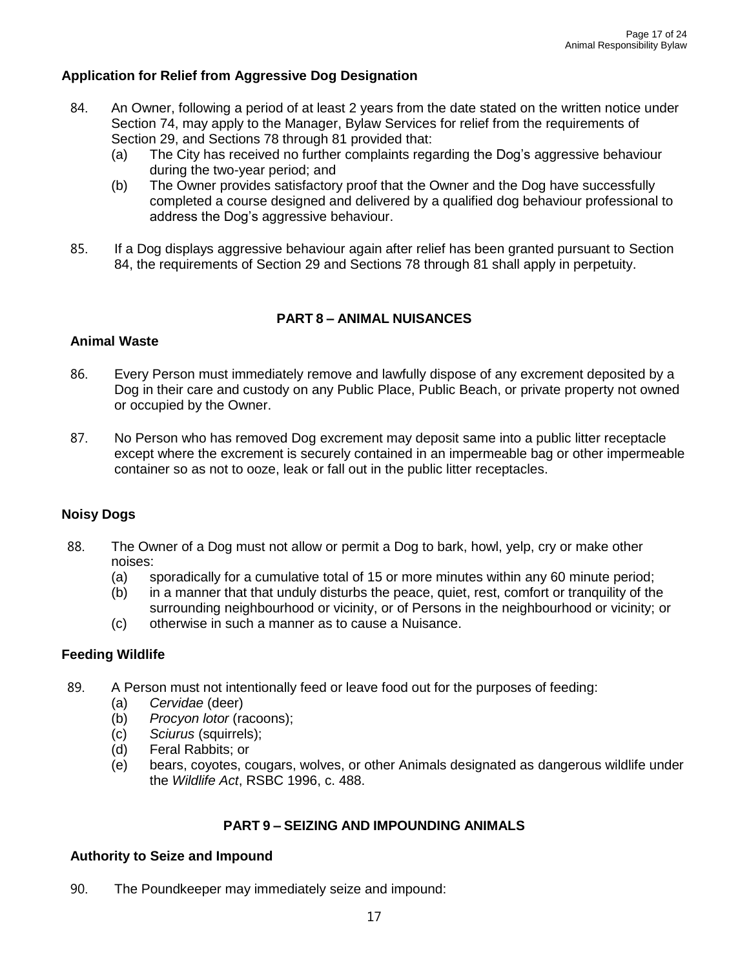#### **Application for Relief from Aggressive Dog Designation**

- 84. An Owner, following a period of at least 2 years from the date stated on the written notice under Section 74, may apply to the Manager, Bylaw Services for relief from the requirements of Section 29, and Sections 78 through 81 provided that:
	- (a) The City has received no further complaints regarding the Dog's aggressive behaviour during the two-year period; and
	- (b) The Owner provides satisfactory proof that the Owner and the Dog have successfully completed a course designed and delivered by a qualified dog behaviour professional to address the Dog's aggressive behaviour.
- 85. If a Dog displays aggressive behaviour again after relief has been granted pursuant to Section 84, the requirements of Section 29 and Sections 78 through 81 shall apply in perpetuity.

#### **PART 8 – ANIMAL NUISANCES**

### **Animal Waste**

- 86. Every Person must immediately remove and lawfully dispose of any excrement deposited by a Dog in their care and custody on any Public Place, Public Beach, or private property not owned or occupied by the Owner.
- 87. No Person who has removed Dog excrement may deposit same into a public litter receptacle except where the excrement is securely contained in an impermeable bag or other impermeable container so as not to ooze, leak or fall out in the public litter receptacles.

#### **Noisy Dogs**

- 88. The Owner of a Dog must not allow or permit a Dog to bark, howl, yelp, cry or make other noises:
	- (a) sporadically for a cumulative total of 15 or more minutes within any 60 minute period;
	- (b) in a manner that that unduly disturbs the peace, quiet, rest, comfort or tranquility of the surrounding neighbourhood or vicinity, or of Persons in the neighbourhood or vicinity; or
	- (c) otherwise in such a manner as to cause a Nuisance.

#### **Feeding Wildlife**

- 89. A Person must not intentionally feed or leave food out for the purposes of feeding:
	- (a) *Cervidae* (deer)
	- (b) *Procyon lotor* (racoons);
	- (c) *Sciurus* (squirrels);
	- (d) Feral Rabbits; or
	- (e) bears, coyotes, cougars, wolves, or other Animals designated as dangerous wildlife under the *Wildlife Act*, RSBC 1996, c. 488.

#### **PART 9 – SEIZING AND IMPOUNDING ANIMALS**

#### **Authority to Seize and Impound**

90. The Poundkeeper may immediately seize and impound: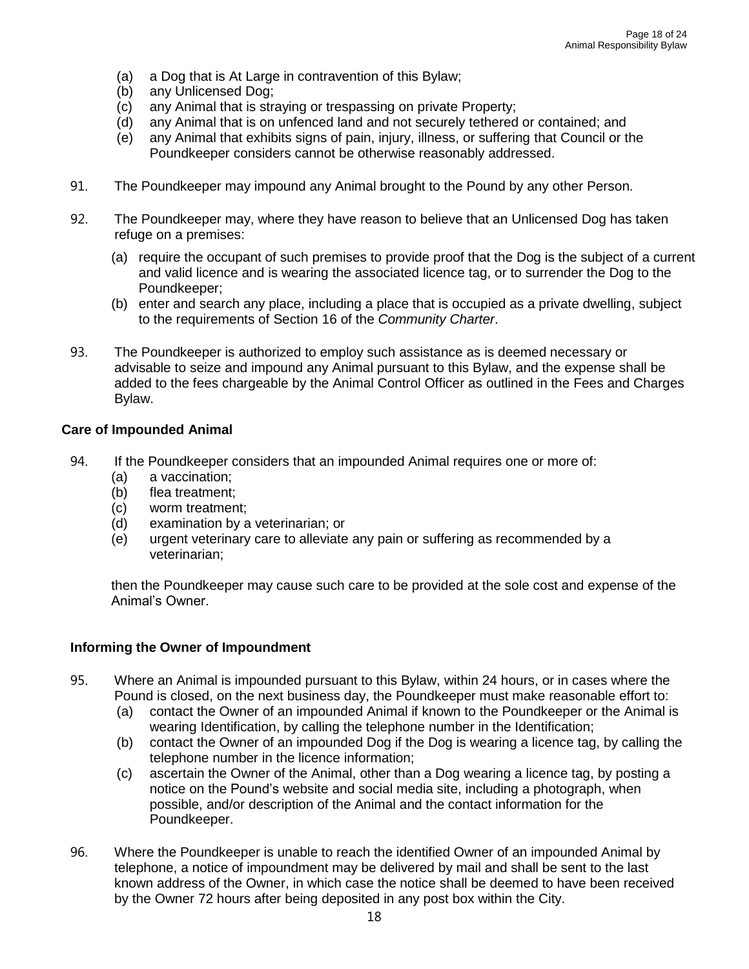- (a) a Dog that is At Large in contravention of this Bylaw;
- (b) any Unlicensed Dog;
- (c) any Animal that is straying or trespassing on private Property;
- (d) any Animal that is on unfenced land and not securely tethered or contained; and
- (e) any Animal that exhibits signs of pain, injury, illness, or suffering that Council or the Poundkeeper considers cannot be otherwise reasonably addressed.
- 91. The Poundkeeper may impound any Animal brought to the Pound by any other Person.
- 92. The Poundkeeper may, where they have reason to believe that an Unlicensed Dog has taken refuge on a premises:
	- (a) require the occupant of such premises to provide proof that the Dog is the subject of a current and valid licence and is wearing the associated licence tag, or to surrender the Dog to the Poundkeeper;
	- (b) enter and search any place, including a place that is occupied as a private dwelling, subject to the requirements of Section 16 of the *Community Charter*.
- 93. The Poundkeeper is authorized to employ such assistance as is deemed necessary or advisable to seize and impound any Animal pursuant to this Bylaw, and the expense shall be added to the fees chargeable by the Animal Control Officer as outlined in the Fees and Charges Bylaw.

#### **Care of Impounded Animal**

- 94. If the Poundkeeper considers that an impounded Animal requires one or more of:
	- (a) a vaccination;
	- (b) flea treatment;
	- (c) worm treatment;
	- (d) examination by a veterinarian; or
	- (e) urgent veterinary care to alleviate any pain or suffering as recommended by a veterinarian;

then the Poundkeeper may cause such care to be provided at the sole cost and expense of the Animal's Owner.

#### **Informing the Owner of Impoundment**

- 95. Where an Animal is impounded pursuant to this Bylaw, within 24 hours, or in cases where the Pound is closed, on the next business day, the Poundkeeper must make reasonable effort to:
	- (a) contact the Owner of an impounded Animal if known to the Poundkeeper or the Animal is wearing Identification, by calling the telephone number in the Identification;
	- (b) contact the Owner of an impounded Dog if the Dog is wearing a licence tag, by calling the telephone number in the licence information;
	- (c) ascertain the Owner of the Animal, other than a Dog wearing a licence tag, by posting a notice on the Pound's website and social media site, including a photograph, when possible, and/or description of the Animal and the contact information for the Poundkeeper.
- 96. Where the Poundkeeper is unable to reach the identified Owner of an impounded Animal by telephone, a notice of impoundment may be delivered by mail and shall be sent to the last known address of the Owner, in which case the notice shall be deemed to have been received by the Owner 72 hours after being deposited in any post box within the City.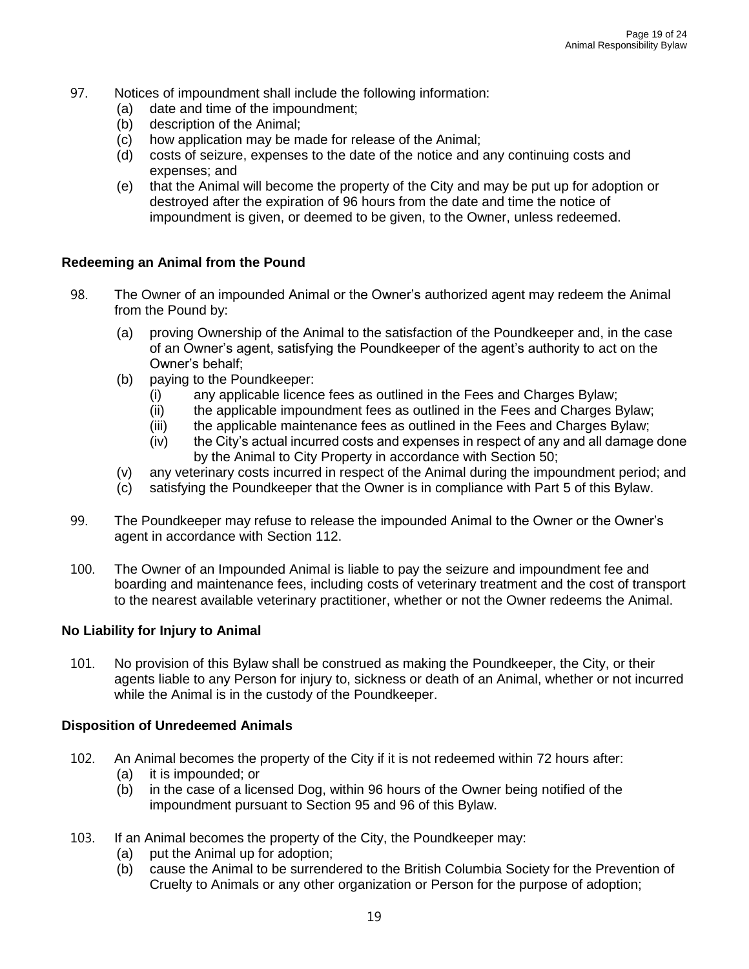- 97. Notices of impoundment shall include the following information:
	- (a) date and time of the impoundment;
	- (b) description of the Animal;
	- (c) how application may be made for release of the Animal;
	- (d) costs of seizure, expenses to the date of the notice and any continuing costs and expenses; and
	- (e) that the Animal will become the property of the City and may be put up for adoption or destroyed after the expiration of 96 hours from the date and time the notice of impoundment is given, or deemed to be given, to the Owner, unless redeemed.

#### **Redeeming an Animal from the Pound**

- 98. The Owner of an impounded Animal or the Owner's authorized agent may redeem the Animal from the Pound by:
	- (a) proving Ownership of the Animal to the satisfaction of the Poundkeeper and, in the case of an Owner's agent, satisfying the Poundkeeper of the agent's authority to act on the Owner's behalf;
	- (b) paying to the Poundkeeper:
		- (i) any applicable licence fees as outlined in the Fees and Charges Bylaw;
		- (ii) the applicable impoundment fees as outlined in the Fees and Charges Bylaw;
		- (iii) the applicable maintenance fees as outlined in the Fees and Charges Bylaw;
		- (iv) the City's actual incurred costs and expenses in respect of any and all damage done by the Animal to City Property in accordance with Section 50;
	- (v) any veterinary costs incurred in respect of the Animal during the impoundment period; and
	- (c) satisfying the Poundkeeper that the Owner is in compliance with Part 5 of this Bylaw.
- 99. The Poundkeeper may refuse to release the impounded Animal to the Owner or the Owner's agent in accordance with Section 112.
- 100. The Owner of an Impounded Animal is liable to pay the seizure and impoundment fee and boarding and maintenance fees, including costs of veterinary treatment and the cost of transport to the nearest available veterinary practitioner, whether or not the Owner redeems the Animal.

#### **No Liability for Injury to Animal**

101. No provision of this Bylaw shall be construed as making the Poundkeeper, the City, or their agents liable to any Person for injury to, sickness or death of an Animal, whether or not incurred while the Animal is in the custody of the Poundkeeper.

#### **Disposition of Unredeemed Animals**

- 102. An Animal becomes the property of the City if it is not redeemed within 72 hours after:
	- (a) it is impounded; or
	- (b) in the case of a licensed Dog, within 96 hours of the Owner being notified of the impoundment pursuant to Section 95 and 96 of this Bylaw.
- 103. If an Animal becomes the property of the City, the Poundkeeper may:
	- (a) put the Animal up for adoption;
	- (b) cause the Animal to be surrendered to the British Columbia Society for the Prevention of Cruelty to Animals or any other organization or Person for the purpose of adoption;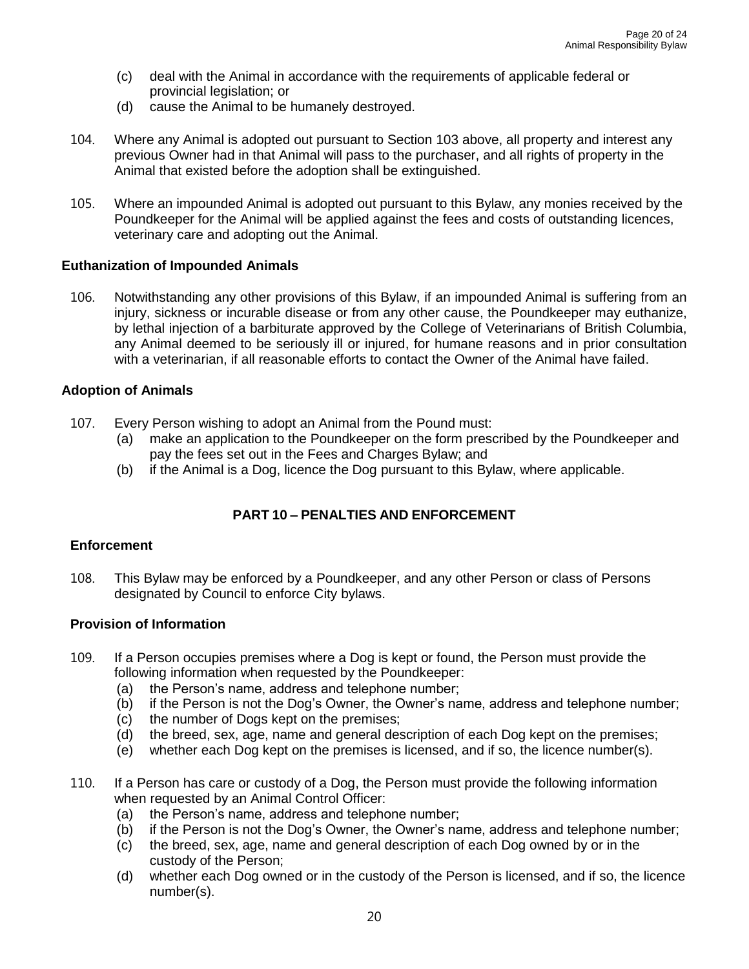- (c) deal with the Animal in accordance with the requirements of applicable federal or provincial legislation; or
- (d) cause the Animal to be humanely destroyed.
- 104. Where any Animal is adopted out pursuant to Section 103 above, all property and interest any previous Owner had in that Animal will pass to the purchaser, and all rights of property in the Animal that existed before the adoption shall be extinguished.
- 105. Where an impounded Animal is adopted out pursuant to this Bylaw, any monies received by the Poundkeeper for the Animal will be applied against the fees and costs of outstanding licences, veterinary care and adopting out the Animal.

#### **Euthanization of Impounded Animals**

106. Notwithstanding any other provisions of this Bylaw, if an impounded Animal is suffering from an injury, sickness or incurable disease or from any other cause, the Poundkeeper may euthanize, by lethal injection of a barbiturate approved by the College of Veterinarians of British Columbia, any Animal deemed to be seriously ill or injured, for humane reasons and in prior consultation with a veterinarian, if all reasonable efforts to contact the Owner of the Animal have failed.

#### **Adoption of Animals**

- 107. Every Person wishing to adopt an Animal from the Pound must:
	- (a) make an application to the Poundkeeper on the form prescribed by the Poundkeeper and pay the fees set out in the Fees and Charges Bylaw; and
	- (b) if the Animal is a Dog, licence the Dog pursuant to this Bylaw, where applicable.

#### **PART 10 – PENALTIES AND ENFORCEMENT**

#### **Enforcement**

108. This Bylaw may be enforced by a Poundkeeper, and any other Person or class of Persons designated by Council to enforce City bylaws.

#### **Provision of Information**

- 109. If a Person occupies premises where a Dog is kept or found, the Person must provide the following information when requested by the Poundkeeper:
	- (a) the Person's name, address and telephone number;
	- (b) if the Person is not the Dog's Owner, the Owner's name, address and telephone number;
	- (c) the number of Dogs kept on the premises;
	- (d) the breed, sex, age, name and general description of each Dog kept on the premises;
	- (e) whether each Dog kept on the premises is licensed, and if so, the licence number(s).
- 110. If a Person has care or custody of a Dog, the Person must provide the following information when requested by an Animal Control Officer:
	- (a) the Person's name, address and telephone number;
	- (b) if the Person is not the Dog's Owner, the Owner's name, address and telephone number;
	- (c) the breed, sex, age, name and general description of each Dog owned by or in the custody of the Person;
	- (d) whether each Dog owned or in the custody of the Person is licensed, and if so, the licence number(s).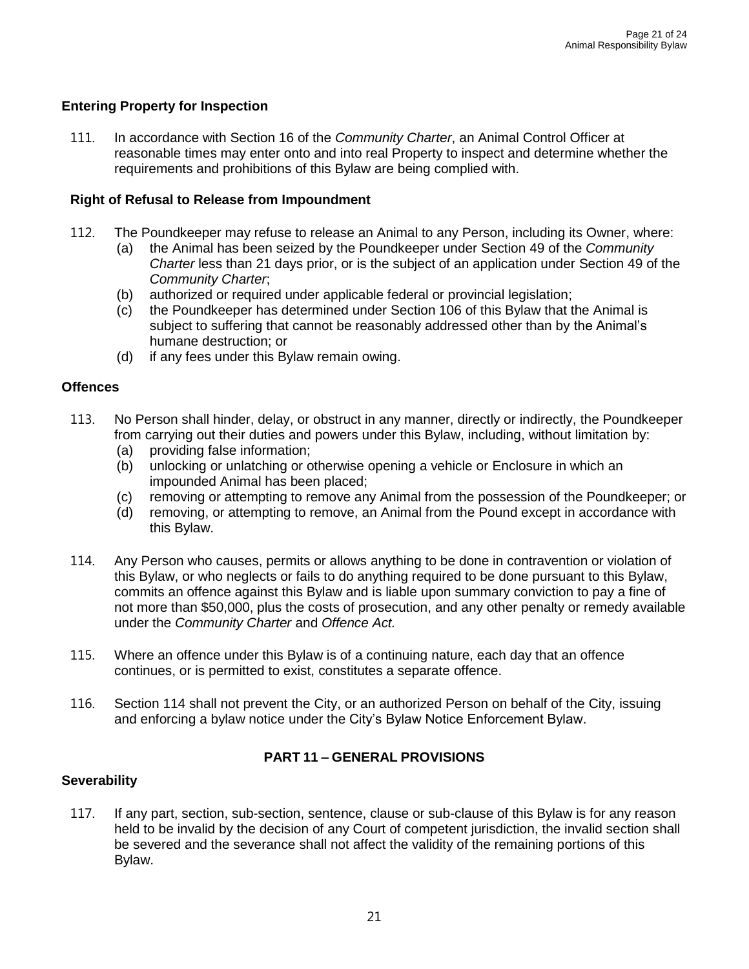#### **Entering Property for Inspection**

111. In accordance with Section 16 of the *Community Charter*, an Animal Control Officer at reasonable times may enter onto and into real Property to inspect and determine whether the requirements and prohibitions of this Bylaw are being complied with.

#### **Right of Refusal to Release from Impoundment**

- 112. The Poundkeeper may refuse to release an Animal to any Person, including its Owner, where:
	- (a) the Animal has been seized by the Poundkeeper under Section 49 of the *Community Charter* less than 21 days prior, or is the subject of an application under Section 49 of the *Community Charter*;
	- (b) authorized or required under applicable federal or provincial legislation;
	- (c) the Poundkeeper has determined under Section 106 of this Bylaw that the Animal is subject to suffering that cannot be reasonably addressed other than by the Animal's humane destruction; or
	- (d) if any fees under this Bylaw remain owing.

#### **Offences**

- 113. No Person shall hinder, delay, or obstruct in any manner, directly or indirectly, the Poundkeeper from carrying out their duties and powers under this Bylaw, including, without limitation by:
	- (a) providing false information;
	- (b) unlocking or unlatching or otherwise opening a vehicle or Enclosure in which an impounded Animal has been placed;
	- (c) removing or attempting to remove any Animal from the possession of the Poundkeeper; or
	- (d) removing, or attempting to remove, an Animal from the Pound except in accordance with this Bylaw.
- 114. Any Person who causes, permits or allows anything to be done in contravention or violation of this Bylaw, or who neglects or fails to do anything required to be done pursuant to this Bylaw, commits an offence against this Bylaw and is liable upon summary conviction to pay a fine of not more than \$50,000, plus the costs of prosecution, and any other penalty or remedy available under the *Community Charter* and *Offence Act.*
- 115. Where an offence under this Bylaw is of a continuing nature, each day that an offence continues, or is permitted to exist, constitutes a separate offence.
- 116. Section 114 shall not prevent the City, or an authorized Person on behalf of the City, issuing and enforcing a bylaw notice under the City's Bylaw Notice Enforcement Bylaw.

#### **PART 11 – GENERAL PROVISIONS**

#### **Severability**

117. If any part, section, sub-section, sentence, clause or sub-clause of this Bylaw is for any reason held to be invalid by the decision of any Court of competent jurisdiction, the invalid section shall be severed and the severance shall not affect the validity of the remaining portions of this Bylaw.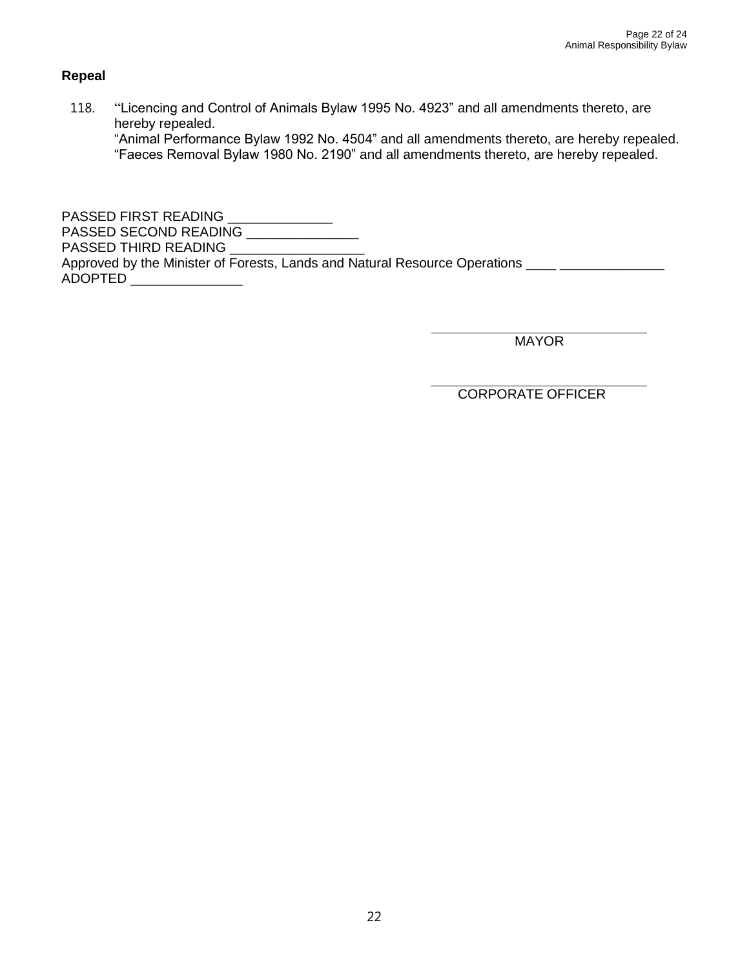#### **Repeal**

118. "Licencing and Control of Animals Bylaw 1995 No. 4923" and all amendments thereto, are hereby repealed.

"Animal Performance Bylaw 1992 No. 4504" and all amendments thereto, are hereby repealed. "Faeces Removal Bylaw 1980 No. 2190" and all amendments thereto, are hereby repealed.

PASSED FIRST READING \_\_\_\_\_\_\_\_\_\_\_\_\_\_ PASSED SECOND READING \_\_\_\_\_\_\_\_\_\_\_\_\_\_\_ PASSED THIRD READING \_\_\_\_\_ Approved by the Minister of Forests, Lands and Natural Resource Operations ADOPTED \_\_\_\_\_\_\_\_\_\_\_\_\_\_\_

**MAYOR** 

CORPORATE OFFICER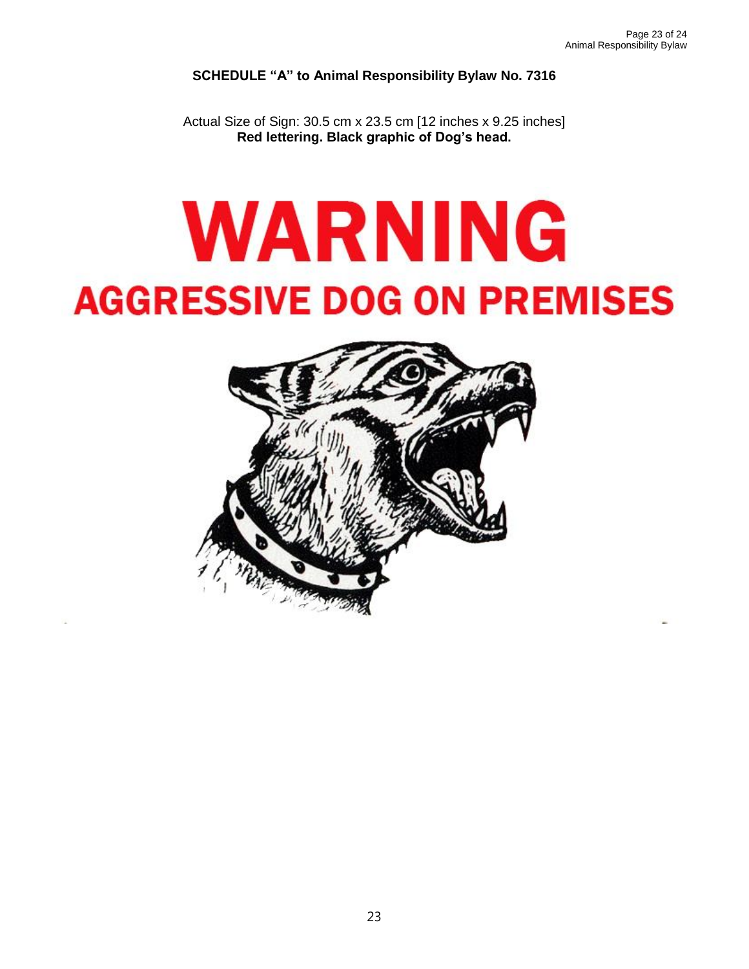**SCHEDULE "A" to Animal Responsibility Bylaw No. 7316**

Actual Size of Sign: 30.5 cm x 23.5 cm [12 inches x 9.25 inches] **Red lettering. Black graphic of Dog's head.**

# WARNING **AGGRESSIVE DOG ON PREMISES**